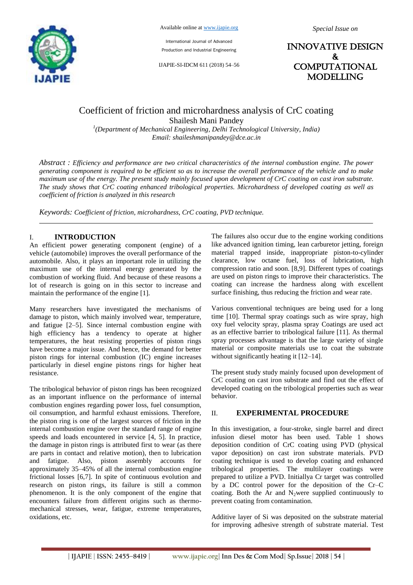

International Journal of Advanced Production and Industrial Engineering

IJAPIE-SI-IDCM 611 (2018) 54–56

INNOVATIVE DESIGN & **COMPUTATIONAL** MODELLING

# Coefficient of friction and microhardness analysis of CrC coating Shailesh Mani Pandey

*1 (Department of Mechanical Engineering, Delhi Technological University, India) Email: shaileshmanipandey@dce.ac.in*

*Abstract : Efficiency and performance are two critical characteristics of the internal combustion engine. The power generating component is required to be efficient so as to increase the overall performance of the vehicle and to make maximum use of the energy. The present study mainly focused upon development of CrC coating on cast iron substrate. The study shows that CrC coating enhanced tribological properties. Microhardness of developed coating as well as coefficient of friction is analyzed in this research*

*Keywords: Coefficient of friction, microhardness, CrC coating, PVD technique.*

## I. **INTRODUCTION**

An efficient power generating component (engine) of a vehicle (automobile) improves the overall performance of the automobile. Also, it plays an important role in utilizing the maximum use of the internal energy generated by the combustion of working fluid. And because of these reasons a lot of research is going on in this sector to increase and maintain the performance of the engine [1].

Many researchers have investigated the mechanisms of damage to piston, which mainly involved wear, temperature, and fatigue [2–5]. Since internal combustion engine with high efficiency has a tendency to operate at higher temperatures, the heat resisting properties of piston rings have become a major issue. And hence, the demand for better piston rings for internal combustion (IC) engine increases particularly in diesel engine pistons rings for higher heat resistance.

The tribological behavior of piston rings has been recognized as an important influence on the performance of internal combustion engines regarding power loss, fuel consumption, oil consumption, and harmful exhaust emissions. Therefore, the piston ring is one of the largest sources of friction in the internal combustion engine over the standard range of engine speeds and loads encountered in service [4, 5]. In practice, the damage in piston rings is attributed first to wear (as there are parts in contact and relative motion), then to lubrication and fatigue. Also, piston assembly accounts for approximately 35–45% of all the internal combustion engine frictional losses [6,7]. In spite of continuous evolution and research on piston rings, its failure is still a common phenomenon. It is the only component of the engine that encounters failure from different origins such as thermomechanical stresses, wear, fatigue, extreme temperatures, oxidations, etc.

The failures also occur due to the engine working conditions like advanced ignition timing, lean carburetor jetting, foreign material trapped inside, inappropriate piston-to-cylinder clearance, low octane fuel, loss of lubrication, high compression ratio and soon. [8,9]. Different types of coatings are used on piston rings to improve their characteristics. The coating can increase the hardness along with excellent surface finishing, thus reducing the friction and wear rate.

Various conventional techniques are being used for a long time [10]. Thermal spray coatings such as wire spray, high oxy fuel velocity spray, plasma spray Coatings are used act as an effective barrier to tribological failure [11]. As thermal spray processes advantage is that the large variety of single material or composite materials use to coat the substrate without significantly heating it [12–14].

The present study study mainly focused upon development of CrC coating on cast iron substrate and find out the effect of developed coating on the tribological properties such as wear behavior.

#### II. **EXPERIMENTAL PROCEDURE**

In this investigation, a four-stroke, single barrel and direct infusion diesel motor has been used. Table 1 shows deposition condition of CrC coating using PVD (physical vapor deposition) on cast iron substrate materials. PVD coating technique is used to develop coating and enhanced tribological properties. The multilayer coatings were prepared to utilize a PVD. Initiallya Cr target was controlled by a DC control power for the deposition of the Cr–C coating. Both the Ar and N<sub>2</sub>were supplied continuously to prevent coating from contamination.

Additive layer of Si was deposited on the substrate material for improving adhesive strength of substrate material. Test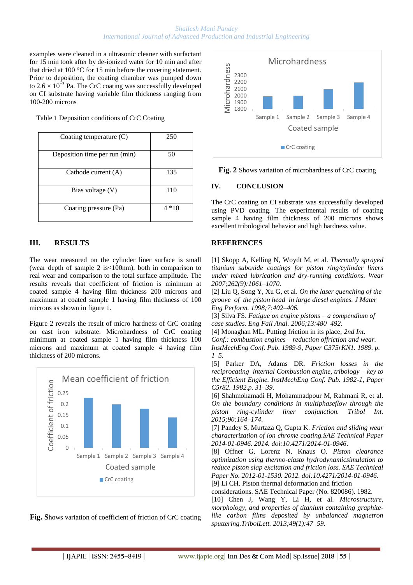#### *Shailesh Mani Pandey International Journal of Advanced Production and Industrial Engineering*

examples were cleaned in a ultrasonic cleaner with surfactant for 15 min took after by de-ionized water for 10 min and after that dried at 100 °C for 15 min before the covering statement. Prior to deposition, the coating chamber was pumped down to  $2.6 \times 10^{-3}$  Pa. The CrC coating was successfully developed on CI substrate having variable film thickness ranging from 100-200 microns

Table 1 Deposition conditions of CrC Coating

| Coating temperature $(C)$     | 250    |
|-------------------------------|--------|
| Deposition time per run (min) | 50     |
| Cathode current (A)           | 135    |
| Bias voltage (V)              | 110    |
| Coating pressure (Pa)         | $4*10$ |

## **III. RESULTS**

The wear measured on the cylinder liner surface is small (wear depth of sample 2 is<100nm), both in comparison to real wear and comparison to the total surface amplitude. The results reveals that coefficient of friction is minimum at coated sample 4 having film thickness 200 microns and maximum at coated sample 1 having film thickness of 100 microns as shown in figure 1.

Figure 2 reveals the result of micro hardness of CrC coating on cast iron substrate. Microhardness of CrC coating minimum at coated sample 1 having film thickness 100 microns and maximum at coated sample 4 having film thickness of 200 microns.



**Fig. S**hows variation of coefficient of friction of CrC coating



**Fig. 2** Shows variation of microhardness of CrC coating

### **IV. CONCLUSION**

The CrC coating on CI substrate was successfully developed using PVD coating. The experimental results of coating sample 4 having film thickness of 200 microns shows excellent tribological behavior and high hardness value.

## **REFERENCES**

[1] Skopp A, Kelling N, Woydt M, et al. *Thermally sprayed titanium suboxide coatings for piston ring/cylinder liners under mixed lubrication and dry-running conditions. Wear 2007;262(9):1061–1070.*

[2] Liu Q, Song Y, Xu G, et al. *On the laser quenching of the groove of the piston head in large diesel engines. J Mater Eng Perform. 1998;7:402–406.*

[3] Silva FS. *Fatigue on engine pistons – a compendium of case studies. Eng Fail Anal. 2006;13:480–492*.

[4] Monaghan ML. Putting friction in its place, *2nd Int. Conf.: combustion engines – reduction offriction and wear.* 

*InstMechEng Conf. Pub. 1989-9, Paper C375rKN1. 1989. p. 1–5.*

[5] Parker DA, Adams DR. *Friction losses in the reciprocating internal Combustion engine, tribology – key to the Efficient Engine. InstMechEng Conf. Pub. 1982-1, Paper C5r82. 1982.p. 31–39.*

[6] Shahmohamadi H, Mohammadpour M, Rahmani R, et al. *On the boundary conditions in multiphaseflow through the piston ring-cylinder liner conjunction. Tribol Int. 2015;90:164–174*.

[7] Pandey S, Murtaza Q, Gupta K. *Friction and sliding wear characterization of ion chrome coating.SAE Technical Paper 2014-01-0946. 2014. doi:10.4271/2014-01-0946*.

[8] Offner G, Lorenz N, Knaus O*. Piston clearance optimization using thermo-elasto hydrodynamicsimulation to reduce piston slap excitation and friction loss. SAE Technical Paper No. 2012-01-1530. 2012. doi:10.4271/2014-01-0946*.

[9] Li CH. Piston thermal deformation and friction

considerations. SAE Technical Paper (No. 820086). 1982. [10] Chen J, Wang Y, Li H, et al. *Microstructure, morphology, and properties of titanium containing graphitelike carbon films deposited by unbalanced magnetron sputtering.TribolLett. 2013;49(1):47–59.*